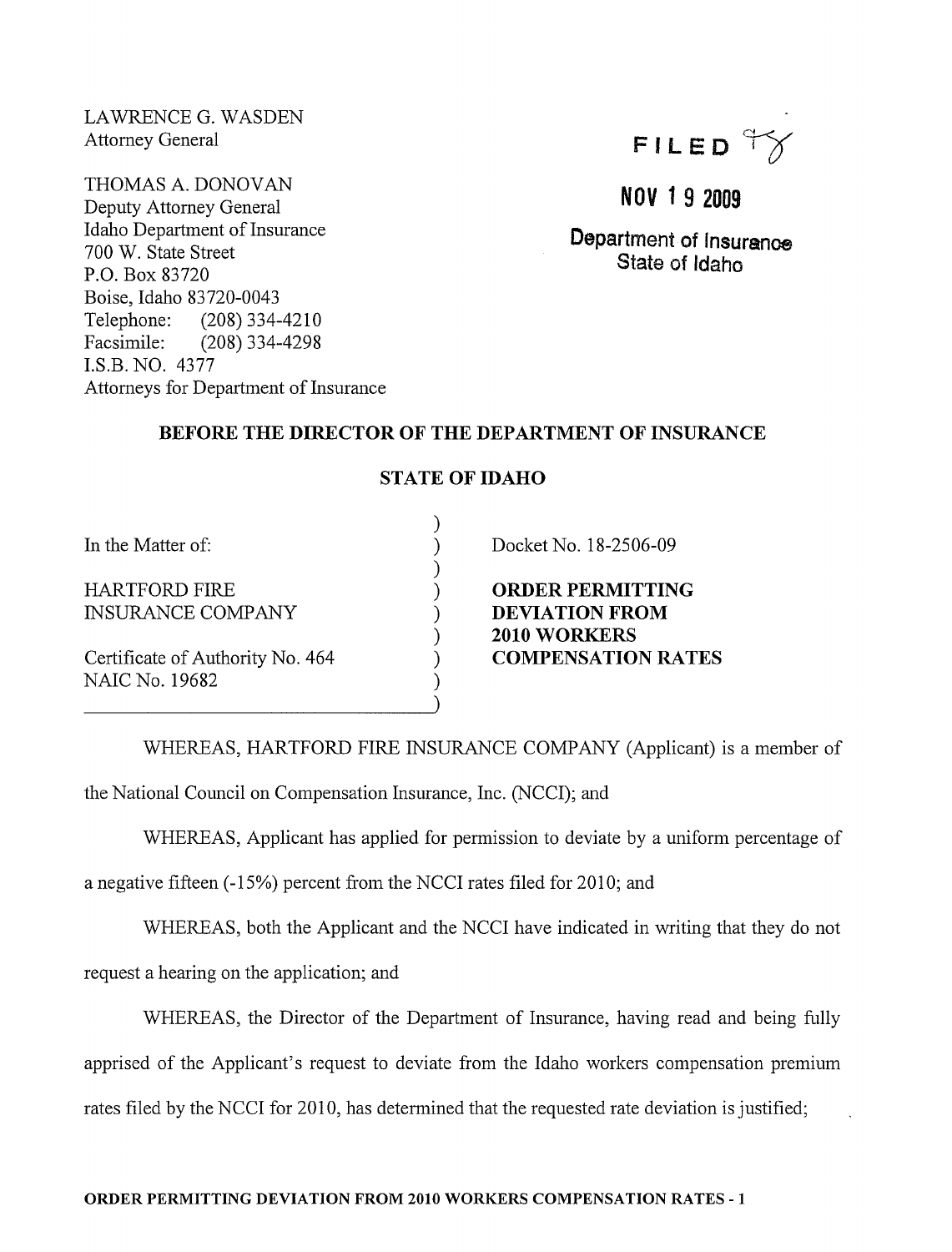LAWRENCE G. WASDEN Attorney General

THOMAS A. DONOVAN Deputy Attorney General Idaho Department of Insurance 700 W. State Street P.O. Box 83720 Boise, Idaho 83720-0043 Telephone: (208) 334-4210 Facsimile: (208) 334-4298 I.S.B. NO. 4377 Attorneys for Department of Insurance



## **NOV 1** 9 2009

Department of Insurance State of Idaho

## BEFORE THE DIRECTOR OF THE DEPARTMENT OF INSURANCE

| In the Matter of:                                  |  |
|----------------------------------------------------|--|
| HARTFORD FIRE<br>INSURANCE COMPANY                 |  |
| Certificate of Authority No. 464<br>NAIC No. 19682 |  |

STATE OF IDAHO

) ) ) ) ) ) ) ) )

Docket No. 18-2506-09

ORDER PERMITTING DEVIATION FROM 2010 WORKERS COMPENSATION RATES

WHEREAS, HARTFORD FIRE INSURANCE COMPANY (Applicant) is a member of the National Council on Compensation Insurance, Inc. (NCCI); and

WHEREAS, Applicant has applied for permission to deviate by a uniform percentage of

a negative fifteen (-15%) percent from the NCCI rates filed for 2010; and

WHEREAS, both the Applicant and the NCCI have indicated in writing that they do not request a hearing on the application; and

WHEREAS, the Director of the Department of Insurance, having read and being fully apprised of the Applicant's request to deviate from the Idaho workers compensation premium rates filed by the NCCI for 2010, has determined that the requested rate deviation is justified;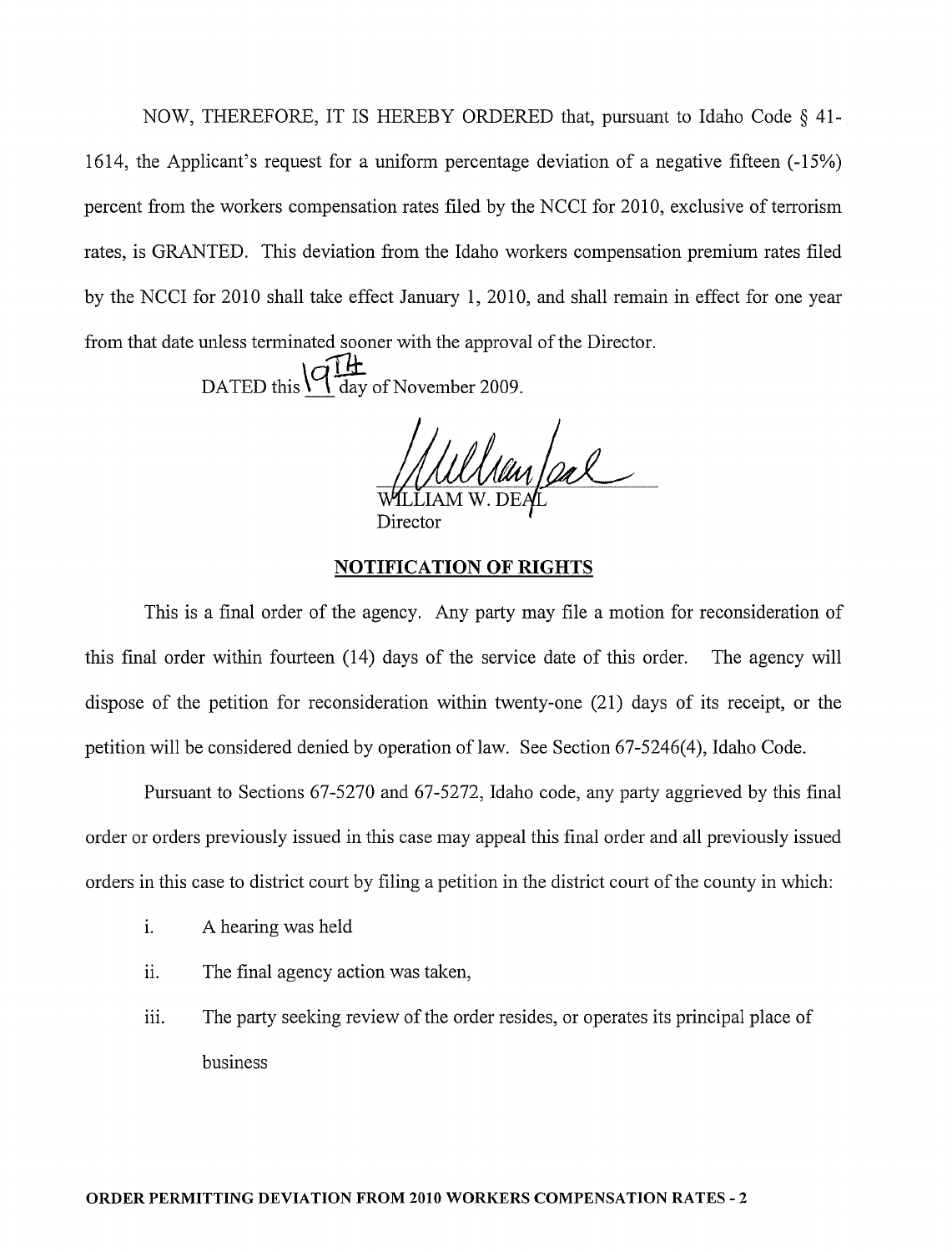NOW, THEREFORE, IT IS HEREBY ORDERED that, pursuant to Idaho Code § 41- 1614, the Applicant's request for a uniform percentage deviation of a negative fifteen (-15%) percent from the workers compensation rates filed by the NCCI for 2010, exclusive of terrorism rates, is GRANTED. This deviation from the Idaho workers compensation premium rates filed by the NCCI for 2010 shall take effect January 1,2010, and shall remain in effect for one year from that date unless terminated sooner with the approval of the Director.

DATED this  $\sqrt{q} \frac{H}{\text{day of November 2009}}$ .

Director

## **NOTIFICATION OF RIGHTS**

This is a final order of the agency. Any party may file a motion for reconsideration of this final order within fourteen (14) days of the service date of this order. The agency will dispose of the petition for reconsideration within twenty-one (21) days of its receipt, or the petition will be considered denied by operation of law. See Section 67-5246(4), Idaho Code.

Pursuant to Sections 67-5270 and 67-5272, Idaho code, any party aggrieved by this final order or orders previously issued in this case may appeal this final order and all previously issued orders in this case to district court by filing a petition in the district court of the county in which:

- 1. A hearing was held
- ii. The final agency action was taken,
- iii. The party seeking review of the order resides, or operates its principal place of business